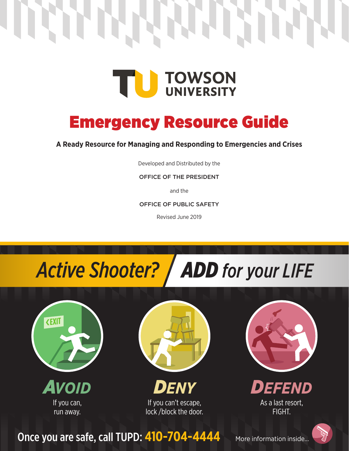

## Emergency Resource Guide

**A Ready Resource for Managing and Responding to Emergencies and Crises**

Developed and Distributed by the

OFFICE OF THE PRESIDENT

and the

OFFICE OF PUBLIC SAFETY

Revised June 2019

# *Active Shooter? ADD for your LIFE*



*AVOID* If you can, run away.



*DENY* If you can't escape, lock /block the door.





As a last resort, FIGHT.

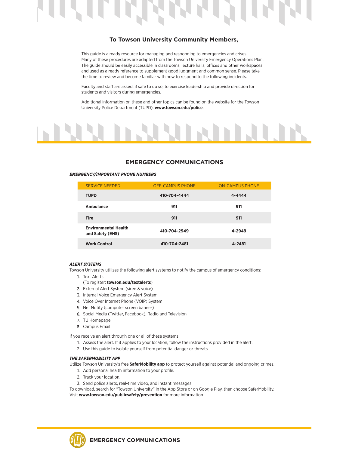

#### **To Towson University Community Members,**

This guide is a ready resource for managing and responding to emergencies and crises. Many of these procedures are adapted from the Towson University Emergency Operations Plan. The guide should be easily accessible in classrooms, lecture halls, offices and other workspaces and used as a ready reference to supplement good judgment and common sense. Please take the time to review and become familiar with how to respond to the following incidents.

Faculty and staff are asked, if safe to do so, to exercise leadership and provide direction for students and visitors during emergencies.

Additional information on these and other topics can be found on the website for the Towson University Police Department (TUPD): **www.towson.edu/police**.



#### **EMERGENCY COMMUNICATIONS**

#### *EMERGENCY/IMPORTANT PHONE NUMBERS*

| <b>SERVICE NEEDED</b>                           | <b>OFF-CAMPUS PHONE</b> | <b>ON-CAMPUS PHONE</b> |
|-------------------------------------------------|-------------------------|------------------------|
| <b>TUPD</b>                                     | 410-704-4444            | 4-4444                 |
| Ambulance                                       | 911                     | 911                    |
| <b>Fire</b>                                     | 911                     | 911                    |
| <b>Environmental Health</b><br>and Safety (EHS) | 410-704-2949            | 4-2949                 |
| <b>Work Control</b>                             | 410-704-2481            | 4-2481                 |

#### *ALERT SYSTEMS*

Towson University utilizes the following alert systems to notify the campus of emergency conditions:

- 1. Text Alerts
- (To register: **towson.edu/textalerts**)
- 2. External Alert System (siren & voice)
- 3. Internal Voice Emergency Alert System
- 4. Voice Over Internet Phone (VOIP) System
- 5. Net Notify (computer screen banner)
- 6. Social Media (Twitter, Facebook), Radio and Television
- 7. TU Homepage
- 8. Campus Email

If you receive an alert through one or all of these systems:

- 1. Assess the alert. If it applies to your location, follow the instructions provided in the alert.
- 2. Use this guide to isolate yourself from potential danger or threats.

#### *THE SAFERMOBILITY APP*

Utilize Towson University's free **SaferMobility app** to protect yourself against potential and ongoing crimes.

- 1. Add personal health information to your profile.
- 2. Track your location.
- 3. Send police alerts, real-time video, and instant messages.

To download, search for "Towson University" in the App Store or on Google Play, then choose SaferMobility. Visit **www.towson.edu/publicsafety/prevention** for more information.

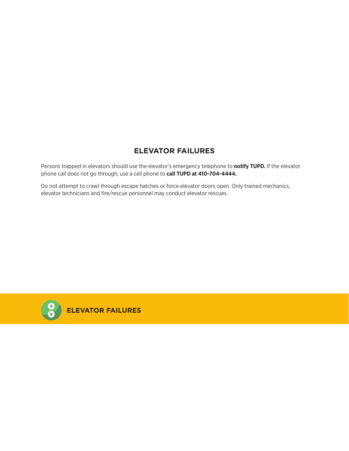## **ELEVATOR FAILURES**

Persons trapped in elevators should use the elevator's emergency telephone to **notify TUPD.** If the elevator phone call does not go through, use a cell phone to **call TUPD at 410-704-4444.**

Do not attempt to crawl through escape hatches or force elevator doors open. Only trained mechanics, elevator technicians and fire/rescue personnel may conduct elevator rescues.



**ELEVATOR FAILURES**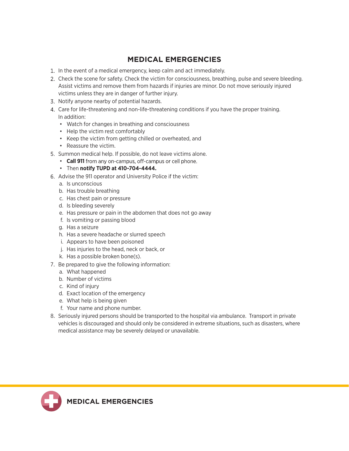## **MEDICAL EMERGENCIES**

- In the event of a medical emergency, keep calm and act immediately.
- 2. Check the scene for safety. Check the victim for consciousness, breathing, pulse and severe bleeding. Assist victims and remove them from hazards if injuries are minor. Do not move seriously injured victims unless they are in danger of further injury.
- 3. Notify anyone nearby of potential hazards.
- 4. Care for life-threatening and non-life-threatening conditions if you have the proper training. In addition:
	- Watch for changes in breathing and consciousness
	- Help the victim rest comfortably
	- Keep the victim from getting chilled or overheated, and
	- Reassure the victim.
- 5. Summon medical help. If possible, do not leave victims alone.
	- **Call 911** from any on-campus, off-campus or cell phone.
	- Then **notify TUPD at 410-704-4444.**
- Advise the 911 operator and University Police if the victim:
	- a. Is unconscious
	- b. Has trouble breathing
	- c. Has chest pain or pressure
	- d. Is bleeding severely
	- e. Has pressure or pain in the abdomen that does not go away
	- f. Is vomiting or passing blood
	- g. Has a seizure
	- h. Has a severe headache or slurred speech
	- i. Appears to have been poisoned
	- j. Has injuries to the head, neck or back, or
	- k. Has a possible broken bone(s).
- 7. Be prepared to give the following information:
	- a. What happened
	- b. Number of victims
	- c. Kind of injury
	- d. Exact location of the emergency
	- e. What help is being given
	- f. Your name and phone number.
- 8. Seriously injured persons should be transported to the hospital via ambulance. Transport in private vehicles is discouraged and should only be considered in extreme situations, such as disasters, where medical assistance may be severely delayed or unavailable.

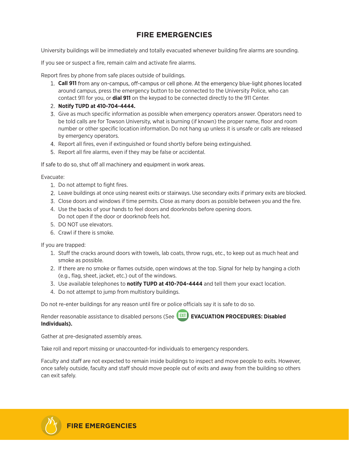## **FIRE EMERGENCIES**

University buildings will be immediately and totally evacuated whenever building fire alarms are sounding.

If you see or suspect a fire, remain calm and activate fire alarms.

Report fires by phone from safe places outside of buildings.

- 1. **Call 911** from any on-campus, off-campus or cell phone. At the emergency blue-light phones located around campus, press the emergency button to be connected to the University Police, who can contact 911 for you, or **dial 911** on the keypad to be connected directly to the 911 Center.
- **Notify TUPD at 410-704-4444.**
- Give as much specific information as possible when emergency operators answer. Operators need to be told calls are for Towson University, what is burning (if known) the proper name, floor and room number or other specific location information. Do not hang up unless it is unsafe or calls are released by emergency operators.
- 4. Report all fires, even if extinguished or found shortly before being extinguished.
- 5. Report all fire alarms, even if they may be false or accidental.

If safe to do so, shut off all machinery and equipment in work areas.

Evacuate:

- 1. Do not attempt to fight fires.
- Leave buildings at once using nearest exits or stairways. Use secondary exits if primary exits are blocked.
- 3. Close doors and windows if time permits. Close as many doors as possible between you and the fire.
- 4. Use the backs of your hands to feel doors and doorknobs before opening doors. Do not open if the door or doorknob feels hot.
- 5. DO NOT use elevators.
- 6. Crawl if there is smoke.

If you are trapped:

- 1. Stuff the cracks around doors with towels, lab coats, throw rugs, etc., to keep out as much heat and smoke as possible.
- 2. If there are no smoke or flames outside, open windows at the top. Signal for help by hanging a cloth (e.g., flag, sheet, jacket, etc.) out of the windows.
- 3. Use available telephones to **notify TUPD at 410-704-4444** and tell them your exact location.
- 4. Do not attempt to jump from multistory buildings.

Do not re-enter buildings for any reason until fire or police officials say it is safe to do so.

Render reasonable assistance to disabled persons (See **EXIT** EVACUATION PROCEDURES: Disabled **Individuals).**

Gather at pre-designated assembly areas.

Take roll and report missing or unaccounted-for individuals to emergency responders.

Faculty and staff are not expected to remain inside buildings to inspect and move people to exits. However, once safely outside, faculty and staff should move people out of exits and away from the building so others can exit safely.

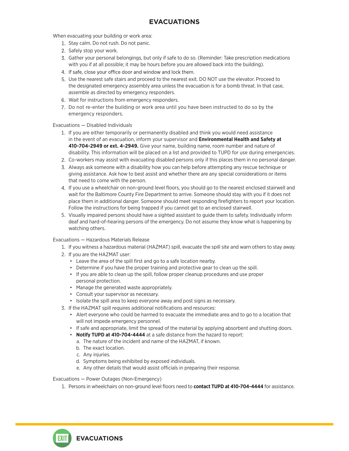When evacuating your building or work area:

- 1. Stay calm. Do not rush. Do not panic.
- 2. Safely stop your work.
- Gather your personal belongings, but only if safe to do so. (Reminder: Take prescription medications with you if at all possible; it may be hours before you are allowed back into the building).
- 4. If safe, close your office door and window and lock them.
- 5. Use the nearest safe stairs and proceed to the nearest exit. DO NOT use the elevator. Proceed to the designated emergency assembly area unless the evacuation is for a bomb threat. In that case, assemble as directed by emergency responders.
- 6. Wait for instructions from emergency responders.
- 7. Do not re-enter the building or work area until you have been instructed to do so by the emergency responders.

Evacuations — Disabled Individuals

- 1. If you are either temporarily or permanently disabled and think you would need assistance in the event of an evacuation, inform your supervisor and **Environmental Health and Safety at 410-704-2949 or ext.4-2949.** Give your name, building name, room number and nature of disability. This information will be placed on a list and provided to TUPD for use during emergencies.
- Co-workers may assist with evacuating disabled persons only if this places them in no personal danger.
- Always ask someone with a disability how you can help before attempting any rescue technique or giving assistance. Ask how to best assist and whether there are any special considerations or items that need to come with the person.
- If you use a wheelchair on non-ground level floors, you should go to the nearest enclosed stairwell and wait for the Baltimore County Fire Department to arrive. Someone should stay with you if it does not place them in additional danger. Someone should meet responding firefighters to report your location. Follow the instructions for being trapped if you cannot get to an enclosed stairwell.
- 5. Visually impaired persons should have a sighted assistant to guide them to safety. Individually inform deaf and hard-of-hearing persons of the emergency. Do not assume they know what is happening by watching others.

Evacuations — Hazardous Materials Release

- 1. If you witness a hazardous material (HAZMAT) spill, evacuate the spill site and warn others to stay away.
- 2. If you are the HAZMAT user:
	- Leave the area of the spill first and go to a safe location nearby.
	- Determine if you have the proper training and protective gear to clean up the spill.
	- If you are able to clean up the spill, follow proper cleanup procedures and use proper personal protection.
	- Manage the generated waste appropriately.
	- Consult your supervisor as necessary.
	- Isolate the spill area to keep everyone away and post signs as necessary.
- 3. If the HAZMAT spill requires additional notifications and resources:
	- Alert everyone who could be harmed to evacuate the immediate area and to go to a location that will not impede emergency personnel.
	- If safe and appropriate, limit the spread of the material by applying absorbent and shutting doors.
	- **Notify TUPD at 410-704-4444** at a safe distance from the hazard to report:
		- a. The nature of the incident and name of the HAZMAT, if known.
		- b. The exact location.

**EVACUATIONS**

- c. Any injuries.
- d. Symptoms being exhibited by exposed individuals.
- e. Any other details that would assist officials in preparing their response.

#### Evacuations — Power Outages (Non-Emergency)

1. Persons in wheelchairs on non-ground level floors need to **contact TUPD at 410-704-4444** for assistance.

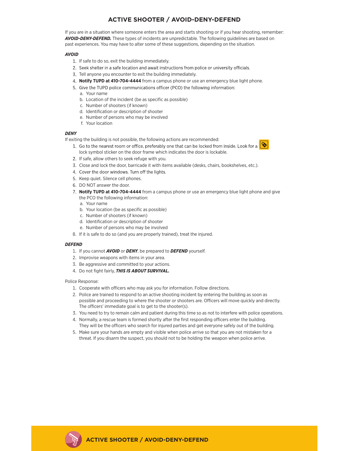### **ACTIVE SHOOTER / AVOID-DENY-DEFEND**

If you are in a situation where someone enters the area and starts shooting or if you hear shooting, remember: *AVOID-DENY-DEFEND.* These types of incidents are unpredictable. The following guidelines are based on past experiences. You may have to alter some of these suggestions, depending on the situation.

#### *AVOID*

- 1. If safe to do so, exit the building immediately.
- 2. Seek shelter in a safe location and await instructions from police or university officials.
- 3. Tell anyone you encounter to exit the building immediately.
- **Notify TUPD at 410-704-4444** from a campus phone or use an emergency blue light phone.
- 5. Give the TUPD police communications officer (PCO) the following information:
	- a. Your name
	- b. Location of the incident (be as specific as possible)
	- c. Number of shooters (if known)
	- d. Identification or description of shooter
	- e. Number of persons who may be involved
	- f. Your location

#### *DENY*

If exiting the building is not possible, the following actions are recommended:

- 1. Go to the nearest room or office, preferably one that can be locked from inside, Look for a lock symbol sticker on the door frame which indicates the door is lockable.
- 2. If safe, allow others to seek refuge with you.
- 3. Close and lock the door, barricade it with items available (desks, chairs, bookshelves, etc.).
- 4. Cover the door windows. Turn off the lights.
- 5. Keep quiet. Silence cell phones.
- 6. DO NOT answer the door.
- **Notify TUPD at 410-704-4444** from a campus phone or use an emergency blue light phone and give the PCO the following information:
	- a. Your name
	- b. Your location (be as specific as possible)
	- c. Number of shooters (if known)
	- d. Identification or description of shooter
	- e. Number of persons who may be involved
- 8. If it is safe to do so (and you are properly trained), treat the injured.

#### *DEFEND*

- 1. If you cannot *AVOID* or *DENY*, be prepared to *DEFEND* yourself.
- 2. Improvise weapons with items in your area.
- 3. Be aggressive and committed to your actions.
- 4. Do not fight fairly, *THIS IS ABOUT SURVIVAL.*

Police Response:

- 1. Cooperate with officers who may ask you for information. Follow directions.
- 2. Police are trained to respond to an active shooting incident by entering the building as soon as possible and proceeding to where the shooter or shooters are. Officers will move quickly and directly. The officers' immediate goal is to get to the shooter(s).
- 3. You need to try to remain calm and patient during this time so as not to interfere with police operations.
- 4. Normally, a rescue team is formed shortly after the first responding officers enter the building. They will be the officers who search for injured parties and get everyone safely out of the building.
- 5. Make sure your hands are empty and visible when police arrive so that you are not mistaken for a threat. If you disarm the suspect, you should not to be holding the weapon when police arrive.

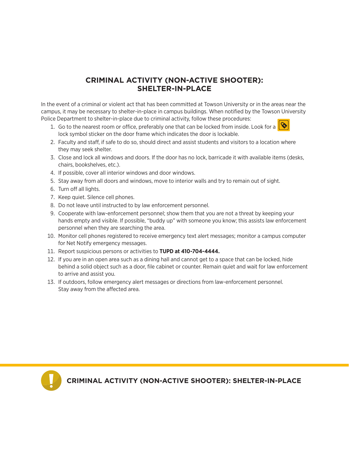## **CRIMINAL ACTIVITY (NON-ACTIVE SHOOTER): SHELTER-IN-PLACE**

In the event of a criminal or violent act that has been committed at Towson University or in the areas near the campus, it may be necessary to shelter-in-place in campus buildings. When notified by the Towson University Police Department to shelter-in-place due to criminal activity, follow these procedures:

- 1. Go to the nearest room or office, preferably one that can be locked from inside. Look for a lock symbol sticker on the door frame which indicates the door is lockable.
- 2. Faculty and staff, if safe to do so, should direct and assist students and visitors to a location where they may seek shelter.
- 3. Close and lock all windows and doors. If the door has no lock, barricade it with available items (desks, chairs, bookshelves, etc.).
- 4. If possible, cover all interior windows and door windows.
- 5. Stay away from all doors and windows, move to interior walls and try to remain out of sight.
- 6. Turn off all lights.
- 7. Keep quiet. Silence cell phones.
- 8. Do not leave until instructed to by law enforcement personnel.
- 9. Cooperate with law-enforcement personnel; show them that you are not a threat by keeping your hands empty and visible. If possible, "buddy up" with someone you know; this assists law enforcement personnel when they are searching the area.
- 10. Monitor cell phones registered to receive emergency text alert messages; monitor a campus computer for Net Notify emergency messages.
- 11. Report suspicious persons or activities to **TUPD at 410-704-4444.**
- 12. If you are in an open area such as a dining hall and cannot get to a space that can be locked, hide behind a solid object such as a door, file cabinet or counter. Remain quiet and wait for law enforcement to arrive and assist you.
- 13. If outdoors, follow emergency alert messages or directions from law-enforcement personnel. Stay away from the affected area.



**CRIMINAL ACTIVITY (NON-ACTIVE SHOOTER): SHELTER-IN-PLACE**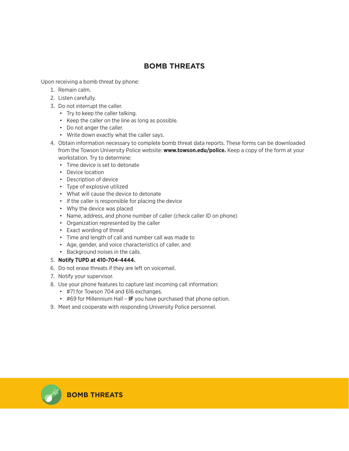### **BOMB THREATS**

Upon receiving a bomb threat by phone:

- 1. Remain calm.
- 2. Listen carefully.
- 3. Do not interrupt the caller.
	- Try to keep the caller talking.
	- Keep the caller on the line as long as possible.
	- Do not anger the caller.
	- Write down exactly what the caller says.
- 4. Obtain information necessary to complete bomb threat data reports. These forms can be downloaded from the Towson University Police website: **www.towson.edu/police.** Keep a copy of the form at your workstation. Try to determine:
	- Time device is set to detonate
	- Device location
	- Description of device
	- Type of explosive utilized
	- What will cause the device to detonate
	- If the caller is responsible for placing the device
	- Why the device was placed
	- Name, address, and phone number of caller (check caller ID on phone)
	- Organization represented by the caller
	- Exact wording of threat
	- Time and length of call and number call was made to
	- Age, gender, and voice characteristics of caller, and
	- Background noises in the calls.

#### 5. **Notify TUPD at 410-704-4444.**

- 6. Do not erase threats if they are left on voicemail.
- 7. Notify your supervisor.
- 8. Use your phone features to capture last incoming call information:
	- #71 for Towson 704 and 616 exchanges.
	- #69 for Millennium Hall **IF** you have purchased that phone option.
- 9. Meet and cooperate with responding University Police personnel.

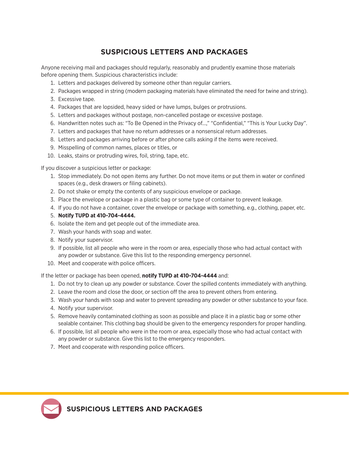## **SUSPICIOUS LETTERS AND PACKAGES**

Anyone receiving mail and packages should regularly, reasonably and prudently examine those materials before opening them. Suspicious characteristics include:

- 1. Letters and packages delivered by someone other than regular carriers.
- 2. Packages wrapped in string (modern packaging materials have eliminated the need for twine and string).
- 3. Excessive tape.
- 4. Packages that are lopsided, heavy sided or have lumps, bulges or protrusions.
- 5. Letters and packages without postage, non-cancelled postage or excessive postage.
- 6. Handwritten notes such as: "To Be Opened in the Privacy of…," "Confidential," "This is Your Lucky Day".
- 7. Letters and packages that have no return addresses or a nonsensical return addresses.
- 8. Letters and packages arriving before or after phone calls asking if the items were received.
- 9. Misspelling of common names, places or titles, or
- 10. Leaks, stains or protruding wires, foil, string, tape, etc.

If you discover a suspicious letter or package:

- 1. Stop immediately. Do not open items any further. Do not move items or put them in water or confined spaces (e.g., desk drawers or filing cabinets).
- 2. Do not shake or empty the contents of any suspicious envelope or package.
- 3. Place the envelope or package in a plastic bag or some type of container to prevent leakage.
- 4. If you do not have a container, cover the envelope or package with something, e.g., clothing, paper, etc.
- 5. **Notify TUPD at 410-704-4444.**
- 6. Isolate the item and get people out of the immediate area.
- 7. Wash your hands with soap and water.
- 8. Notify your supervisor.
- 9. If possible, list all people who were in the room or area, especially those who had actual contact with any powder or substance. Give this list to the responding emergency personnel.
- 10. Meet and cooperate with police officers.

If the letter or package has been opened, **notify TUPD at 410-704-4444** and:

- 1. Do not try to clean up any powder or substance. Cover the spilled contents immediately with anything.
- 2. Leave the room and close the door, or section off the area to prevent others from entering.
- 3. Wash your hands with soap and water to prevent spreading any powder or other substance to your face.
- 4. Notify your supervisor.
- 5. Remove heavily contaminated clothing as soon as possible and place it in a plastic bag or some other sealable container. This clothing bag should be given to the emergency responders for proper handling.
- 6. If possible, list all people who were in the room or area, especially those who had actual contact with any powder or substance. Give this list to the emergency responders.
- 7. Meet and cooperate with responding police officers.

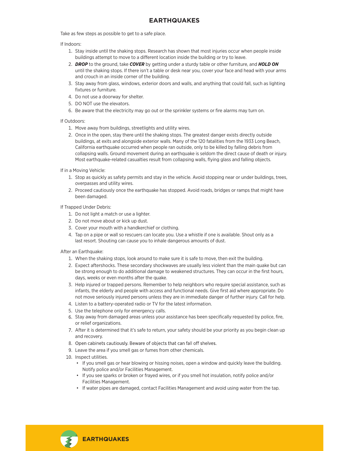Take as few steps as possible to get to a safe place.

#### If Indoors:

- 1. Stay inside until the shaking stops. Research has shown that most injuries occur when people inside buildings attempt to move to a diferent location inside the building or try to leave.
- 2. *DROP* to the ground, take *COVER* by getting under a sturdy table or other furniture, and *HOLD ON* until the shaking stops. If there isn't a table or desk near you, cover your face and head with your arms and crouch in an inside corner of the building.
- 3. Stay away from glass, windows, exterior doors and walls, and anything that could fall, such as lighting fixtures or furniture.
- 4. Do not use a doorway for shelter.
- 5. DO NOT use the elevators.
- 6. Be aware that the electricity may go out or the sprinkler systems or fire alarms may turn on.

#### If Outdoors:

- 1. Move away from buildings, streetlights and utility wires.
- 2. Once in the open, stay there until the shaking stops. The greatest danger exists directly outside buildings, at exits and alongside exterior walls. Many of the 120 fatalities from the 1933 Long Beach, California earthquake occurred when people ran outside, only to be killed by falling debris from collapsing walls. Ground movement during an earthquake is seldom the direct cause of death or injury. Most earthquake-related casualties result from collapsing walls, flying glass and falling objects.
- If in a Moving Vehicle:
	- 1. Stop as quickly as safety permits and stay in the vehicle. Avoid stopping near or under buildings, trees, overpasses and utility wires.
	- 2. Proceed cautiously once the earthquake has stopped. Avoid roads, bridges or ramps that might have been damaged.
- If Trapped Under Debris:
	- 1. Do not light a match or use a lighter.
	- 2. Do not move about or kick up dust.
	- 3. Cover your mouth with a handkerchief or clothing.
	- 4. Tap on a pipe or wall so rescuers can locate you. Use a whistle if one is available. Shout only as a last resort. Shouting can cause you to inhale dangerous amounts of dust.

After an Earthquake:

- 1. When the shaking stops, look around to make sure it is safe to move, then exit the building.
- 2. Expect aftershocks. These secondary shockwaves are usually less violent than the main quake but can be strong enough to do additional damage to weakened structures. They can occur in the first hours, days, weeks or even months after the quake.
- 3. Help injured or trapped persons. Remember to help neighbors who require special assistance, such as infants, the elderly and people with access and functional needs. Give first aid where appropriate. Do not move seriously injured persons unless they are in immediate danger of further injury. Call for help.
- 4. Listen to a battery-operated radio or TV for the latest information.
- 5. Use the telephone only for emergency calls.
- Stay away from damaged areas unless your assistance has been specifically requested by police, fire, or relief organizations.
- 7. After it is determined that it's safe to return, your safety should be your priority as you begin clean up and recovery.
- 8. Open cabinets cautiously. Beware of objects that can fall off shelves.
- Leave the area if you smell gas or fumes from other chemicals.
- 10. Inspect utilities.
	- If you smell gas or hear blowing or hissing noises, open a window and quickly leave the building. Notify police and/or Facilities Management.
	- If you see sparks or broken or frayed wires, or if you smell hot insulation, notify police and/or Facilities Management.
	- If water pipes are damaged, contact Facilities Management and avoid using water from the tap.

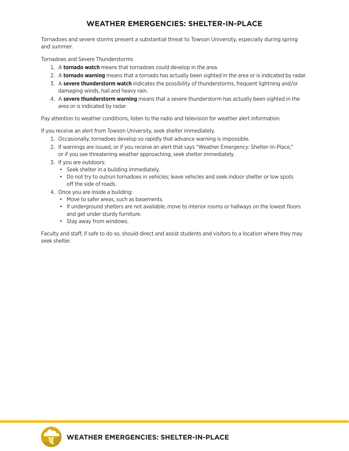## **WEATHER EMERGENCIES: SHELTER-IN-PLACE**

Tornadoes and severe storms present a substantial threat to Towson University, especially during spring and summer.

Tornadoes and Severe Thunderstorms

- 1. A **tornado watch** means that tornadoes could develop in the area.
- 2. A **tornado warning** means that a tornado has actually been sighted in the area or is indicated by radar.
- 3. A **severe thunderstorm watch** indicates the possibility of thunderstorms, frequent lightning and/or damaging winds, hail and heavy rain.
- 4. A **severe thunderstorm warning** means that a severe thunderstorm has actually been sighted in the area or is indicated by radar.

Pay attention to weather conditions, listen to the radio and television for weather alert information.

If you receive an alert from Towson University, seek shelter immediately.

- 1. Occasionally, tornadoes develop so rapidly that advance warning is impossible.
- 2. If warnings are issued, or if you receive an alert that says "Weather Emergency: Shelter-In-Place," or if you see threatening weather approaching, seek shelter immediately.
- 3. If you are outdoors:
	- Seek shelter in a building immediately.
	- Do not try to outrun tornadoes in vehicles; leave vehicles and seek indoor shelter or low spots off the side of roads.
- 4. Once you are inside a building:
	- Move to safer areas, such as basements.
	- If underground shelters are not available, move to interior rooms or hallways on the lowest floors and get under sturdy furniture.
	- Stay away from windows.

Faculty and staf, if safe to do so, should direct and assist students and visitors to a location where they may seek shelter.